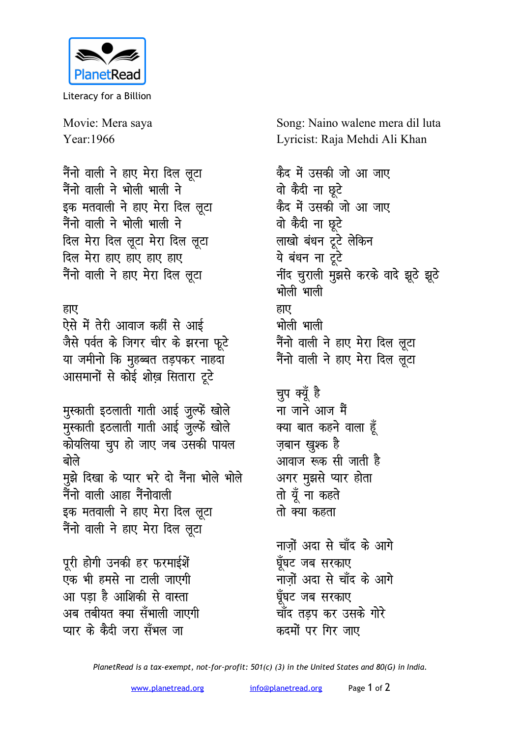

Literacy for a Billion

Movie: Mera saya Year: 1966

नैंनो वाली ने हाए मेरा दिल लूटा नैंनो वाली ने भोली भाली ने इक मतवाली ने हाए मेरा दिल लूटा नैंनो वाली ने भोली भाली ने दिल मेरा दिल लूटा मेरा दिल लूटा दिल मेरा हाए हाए हाए हाए नैंनो वाली ने हाए मेरा दिल लूटा

## हाए

ऐसे में तेरी आवाज कहीं से आई जैसे पर्वत के जिगर चीर के झरना फूटे या जमीनो कि मुहब्बत तड़पकर नाहदा आसमानों से कोई शोख़ सितारा टूटे

मुस्काती इठलाती गाती आई जुल्फें खोले मुस्काती इठलाती गाती आई जुल्फें खोले कोयलिया चुप हो जाए जब उसकी पायल बोले मुझे दिखा के प्यार भरे दो नैंना भोले भोले नैंनो वाली आहा नैंनोवाली इक मतवाली ने हाए मेरा दिल लूटा नैंनो वाली ने हाए मेरा दिल लूटा

पूरी होगी उनकी हर फरमाईशें एक भी हमसे ना टाली जाएगी आ पडा है आशिकी से वास्ता अब तबीयत क्या सँभाली जाएगी प्यार के कैटी जरा सँभल जा

Song: Naino walene mera dil luta Lyricist: Raja Mehdi Ali Khan

कैद में उसकी जो आ जाए वो कैदी ना छूटे कैद में उसकी जो आ जाए वो कैदी ना छूटे लाखो बंधन टूटे लेकिन ये बंधन ना टूटे नींद चुराली मुझसे करके वादे झूठे झूठे भोली भाली हाए भोली भाली नैंनो वाली ने हाए मेरा दिल लूटा नैंनो वाली ने हाए मेरा दिल लुटा

चुप क्यूँ है ना जाने आज मैं क्या बात कहने वाला हूँ ज़बान ख़ूश्क है आवाज रूक सी जाती है अगर मुझसे प्यार होता तो यूँ ना कहते तो क्या कहता

नाजों अदा से चाँद के आगे घूँघट जब सरकाए नाजों अदा से चाँद के आगे घूँघट जब सरकाए चाँद तडप कर उसके गोरे कटमों पर गिर जाए

PlanetRead is a tax-exempt, not-for-profit: 501(c) (3) in the United States and 80(G) in India.